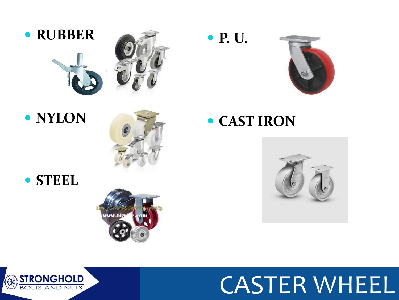

#### **• NYLON**



#### **STEEL**



#### **P. U.**



**CAST IRON**



# CASTER WHEEL

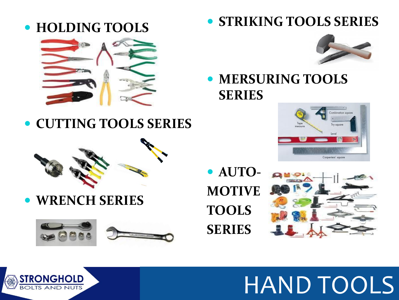







 **MERSURING TOOLS SERIES**

**CUTTING TOOLS SERIES**



**WRENCH SERIES**



 **AUTO-MOTIVE TOOLS SERIES**





# HAND TOOLS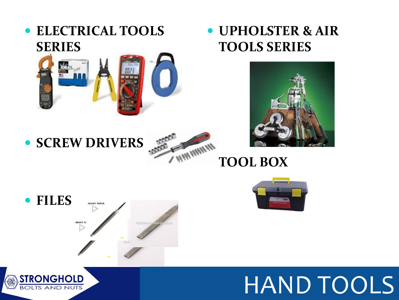

# HAND TOOLS









**SERIES** 

**ELECTRICAL TOOLS** 

#### **UPHOLSTER & AIR TOOLS SERIES**

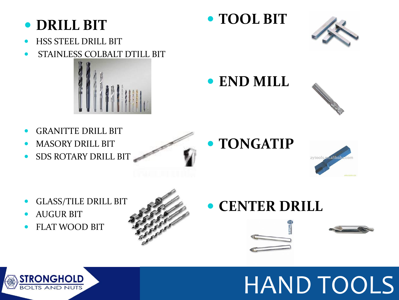#### **DRILL BIT**

- HSS STEEL DRILL BIT
- STAINLESS COLBALT DTILL BIT



- GRANITTE DRILL BIT
- MASORY DRILL BIT
- SDS ROTARY DRILL BIT



**TOOL BIT**



**END MILL**



# **TONGATIP**



- GLASS/TILE DRILL BIT
- AUGUR BIT
- FLAT WOOD BIT



## **• CENTER DRILL**





# HAND TOOLS

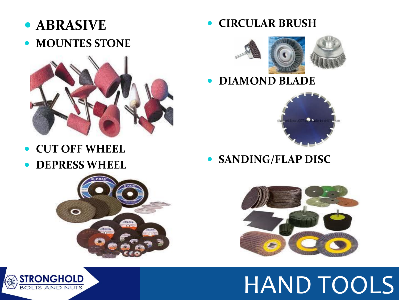- **ABRASIVE**
- **MOUNTES STONE**



- **CUT OFF WHEEL**
- **DEPRESS WHEEL**





**CIRCULAR BRUSH**





#### **DIAMOND BLADE**



**SANDING/FLAP DISC**



HAND TOOLS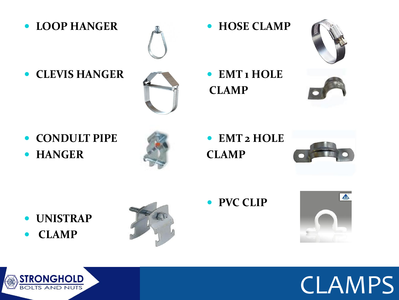**LOOP HANGER**



**CLEVIS HANGER**



**CONDULT PIPE** 





 **EMT 2 HOLE CLAMP**

**• HOSE CLAMP** 

**EMT 1 HOLE**

**CLAMP**



- **UNISTRAP**
- **CLAMP**



**PVC CLIP**





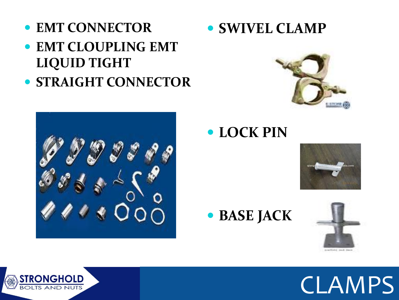- **EMT CONNECTOR**
- **EMT CLOUPLING EMT LIQUID TIGHT**
- **STRAIGHT CONNECTOR**







### **LOCK PIN**



**BASE JACK**



CLAMPS

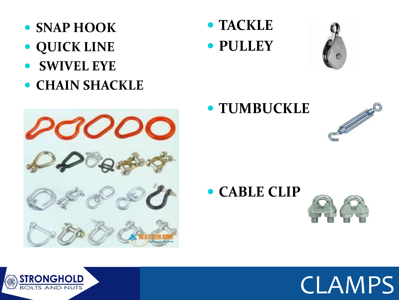- **SNAP HOOK**
- **QUICK LINE**
- **SWIVEL EYE**
- **CHAIN SHACKLE**



 **TACKLE PULLEY**



### **TUMBUCKLE**



**CABLE CLIP**





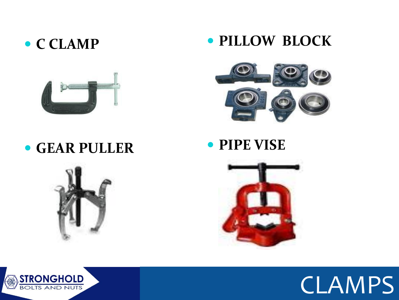#### **C CLAMP**



#### **GEAR PULLER**







#### **PIPE VISE**





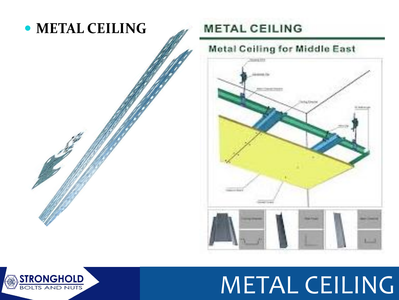

#### **METAL CEILING**

#### **Metal Ceiling for Middle East**



METAL CEILING

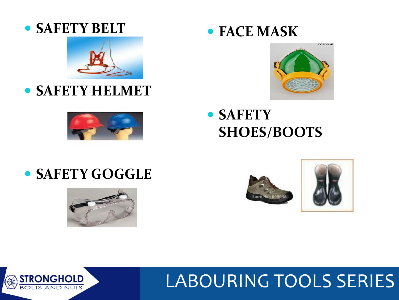



## **SAFETY HELMET**



#### **FACE MASK**



 **SAFETY SHOES/BOOTS**

### **• SAFETY GOGGLE**







## LABOURING TOOLS SERIES